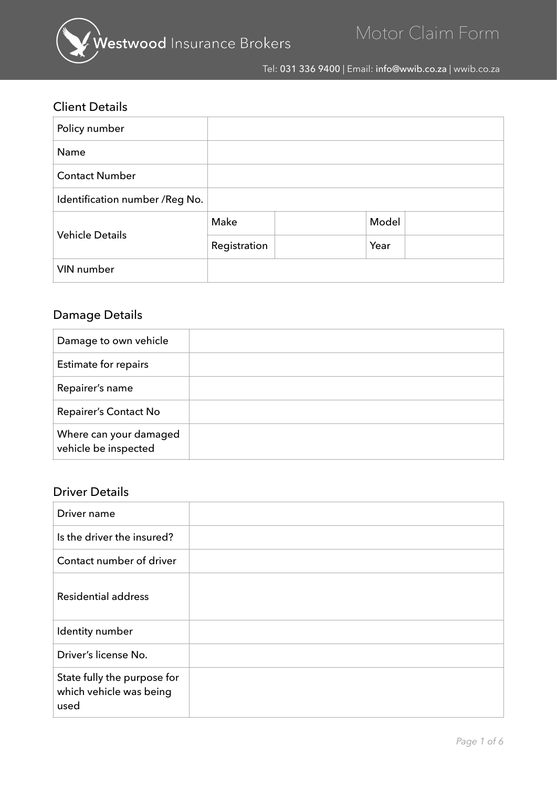

Tel: 031 336 9400 | Email: info@wwib.co.za | wwib.co.za

#### Client Details

| Policy number                   |              |       |
|---------------------------------|--------------|-------|
| Name                            |              |       |
| <b>Contact Number</b>           |              |       |
| Identification number / Reg No. |              |       |
| <b>Vehicle Details</b>          | Make         | Model |
|                                 | Registration | Year  |
| VIN number                      |              |       |

## Damage Details

| Damage to own vehicle                          |  |
|------------------------------------------------|--|
| Estimate for repairs                           |  |
| Repairer's name                                |  |
| Repairer's Contact No                          |  |
| Where can your damaged<br>vehicle be inspected |  |

#### Driver Details

| Driver name                                                    |  |
|----------------------------------------------------------------|--|
| Is the driver the insured?                                     |  |
| Contact number of driver                                       |  |
| <b>Residential address</b>                                     |  |
| Identity number                                                |  |
| Driver's license No.                                           |  |
| State fully the purpose for<br>which vehicle was being<br>used |  |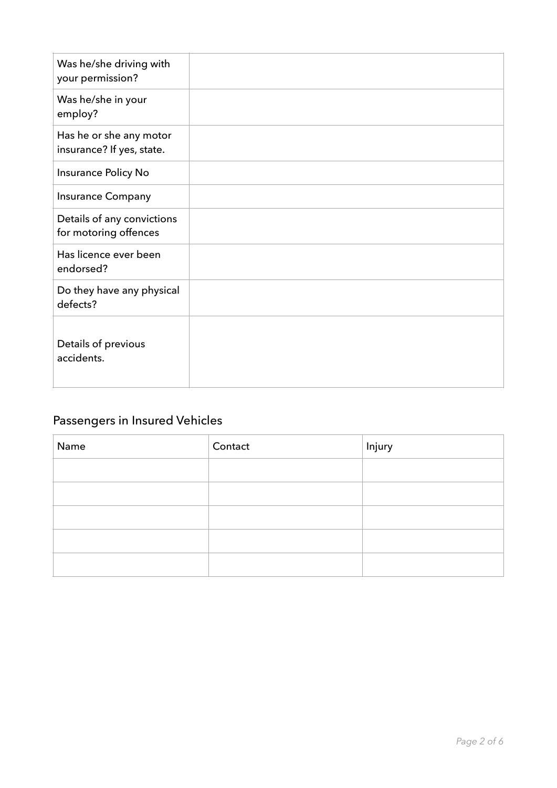| Was he/she driving with<br>your permission?          |  |
|------------------------------------------------------|--|
| Was he/she in your<br>employ?                        |  |
| Has he or she any motor<br>insurance? If yes, state. |  |
| Insurance Policy No                                  |  |
| <b>Insurance Company</b>                             |  |
| Details of any convictions<br>for motoring offences  |  |
| Has licence ever been<br>endorsed?                   |  |
| Do they have any physical<br>defects?                |  |
| Details of previous<br>accidents.                    |  |

# Passengers in Insured Vehicles

| Name | Contact | Injury |
|------|---------|--------|
|      |         |        |
|      |         |        |
|      |         |        |
|      |         |        |
|      |         |        |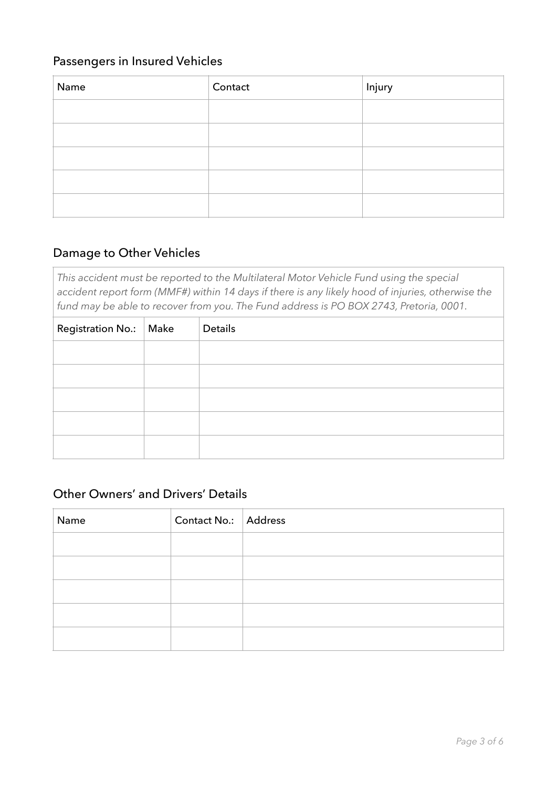#### Passengers in Insured Vehicles

| Name | Contact | Injury |
|------|---------|--------|
|      |         |        |
|      |         |        |
|      |         |        |
|      |         |        |
|      |         |        |

#### Damage to Other Vehicles

*This accident must be reported to the Multilateral Motor Vehicle Fund using the special accident report form (MMF#) within 14 days if there is any likely hood of injuries, otherwise the fund may be able to recover from you. The Fund address is PO BOX 2743, Pretoria, 0001.*

| Registration No.:   Make | Details |
|--------------------------|---------|
|                          |         |
|                          |         |
|                          |         |
|                          |         |
|                          |         |

#### Other Owners' and Drivers' Details

| Name | Contact No.: Address |  |
|------|----------------------|--|
|      |                      |  |
|      |                      |  |
|      |                      |  |
|      |                      |  |
|      |                      |  |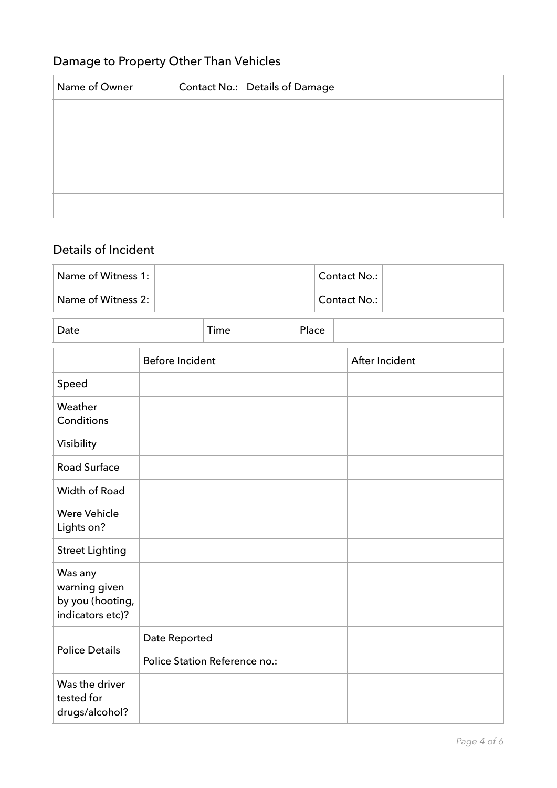## Damage to Property Other Than Vehicles

| Name of Owner | Contact No.: Details of Damage |
|---------------|--------------------------------|
|               |                                |
|               |                                |
|               |                                |
|               |                                |
|               |                                |

## Details of Incident

| Name of Witness 1:             | Contact No.: |  |
|--------------------------------|--------------|--|
| Name of Witness 2: $\parallel$ | Contact No.: |  |
|                                |              |  |

| Date |                 |  | Time |  | Place          |  |
|------|-----------------|--|------|--|----------------|--|
|      | Before Incident |  |      |  | After Incident |  |

|                                                                  | <b>Defore incluent</b>        | After incluent |
|------------------------------------------------------------------|-------------------------------|----------------|
| Speed                                                            |                               |                |
| Weather<br>Conditions                                            |                               |                |
| Visibility                                                       |                               |                |
| <b>Road Surface</b>                                              |                               |                |
| Width of Road                                                    |                               |                |
| <b>Were Vehicle</b><br>Lights on?                                |                               |                |
| <b>Street Lighting</b>                                           |                               |                |
| Was any<br>warning given<br>by you (hooting,<br>indicators etc)? |                               |                |
|                                                                  | Date Reported                 |                |
| <b>Police Details</b>                                            | Police Station Reference no.: |                |
| Was the driver<br>tested for<br>drugs/alcohol?                   |                               |                |